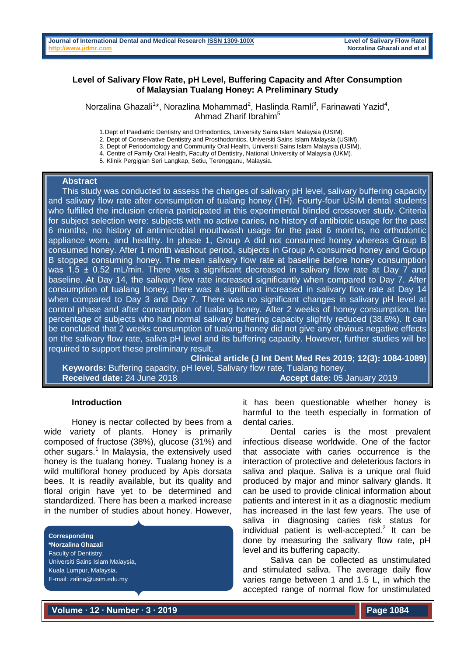## **Level of Salivary Flow Rate, pH Level, Buffering Capacity and After Consumption of Malaysian Tualang Honey: A Preliminary Study**

Norzalina Ghazali<sup>1\*</sup>, Norazlina Mohammad<sup>2</sup>, Haslinda Ramli<sup>3</sup>, Farinawati Yazid<sup>4</sup>, Ahmad Zharif Ibrahim<sup>5</sup>

1.Dept of Paediatric Dentistry and Orthodontics, University Sains Islam Malaysia (USIM).

2. Dept of Conservative Dentistry and Prosthodontics, Universiti Sains Islam Malaysia (USIM).

3. Dept of Periodontology and Community Oral Health, Universiti Sains Islam Malaysia (USIM).

4. Centre of Family Oral Health, Faculty of Dentistry, National University of Malaysia (UKM).

5. Klinik Pergigian Seri Langkap, Setiu, Terengganu, Malaysia.

#### **Abstract**

This study was conducted to assess the changes of salivary pH level, salivary buffering capacity and salivary flow rate after consumption of tualang honey (TH). Fourty-four USIM dental students who fulfilled the inclusion criteria participated in this experimental blinded crossover study. Criteria for subject selection were: subjects with no active caries, no history of antibiotic usage for the past 6 months, no history of antimicrobial mouthwash usage for the past 6 months, no orthodontic appliance worn, and healthy. In phase 1, Group A did not consumed honey whereas Group B consumed honey. After 1 month washout period, subjects in Group A consumed honey and Group B stopped consuming honey. The mean salivary flow rate at baseline before honey consumption was 1.5  $\pm$  0.52 mL/min. There was a significant decreased in salivary flow rate at Day 7 and baseline. At Day 14, the salivary flow rate increased significantly when compared to Day 7. After consumption of tualang honey, there was a significant increased in salivary flow rate at Day 14 when compared to Day 3 and Day 7. There was no significant changes in salivary pH level at control phase and after consumption of tualang honey. After 2 weeks of honey consumption, the percentage of subjects who had normal salivary buffering capacity slightly reduced (38.6%). It can be concluded that 2 weeks consumption of tualang honey did not give any obvious negative effects on the salivary flow rate, saliva pH level and its buffering capacity. However, further studies will be required to support these preliminary result.

**Clinical article (J Int Dent Med Res 2019; 12(3): 1084-1089) Keywords:** Buffering capacity, pH level, Salivary flow rate, Tualang honey. **Received date:** 24 June 2018 **Accept date:** 05 January 2019

#### **Introduction**

Honey is nectar collected by bees from a wide variety of plants. Honey is primarily composed of fructose (38%), glucose (31%) and other sugars.<sup>1</sup> In Malaysia, the extensively used honey is the tualang honey. Tualang honey is a wild multifloral honey produced by Apis dorsata bees. It is readily available, but its quality and floral origin have yet to be determined and standardized. There has been a marked increase in the number of studies about honey. However,

**Corresponding \*Norzalina Ghazali** Faculty of Dentistry, Universiti Sains Islam Malaysia, Kuala Lumpur, Malaysia. E-mail: zalina@usim.edu.my

it has been questionable whether honey is harmful to the teeth especially in formation of dental caries.

Dental caries is the most prevalent infectious disease worldwide. One of the factor that associate with caries occurrence is the interaction of protective and deleterious factors in saliva and plaque. Saliva is a unique oral fluid produced by major and minor salivary glands. It can be used to provide clinical information about patients and interest in it as a diagnostic medium has increased in the last few years. The use of saliva in diagnosing caries risk status for individual patient is well-accepted. $2$  It can be done by measuring the salivary flow rate, pH level and its buffering capacity.

Saliva can be collected as unstimulated and stimulated saliva. The average daily flow varies range between 1 and 1.5 L, in which the accepted range of normal flow for unstimulated

**Volume ∙ 12 ∙ Number ∙ 3 ∙ 2019**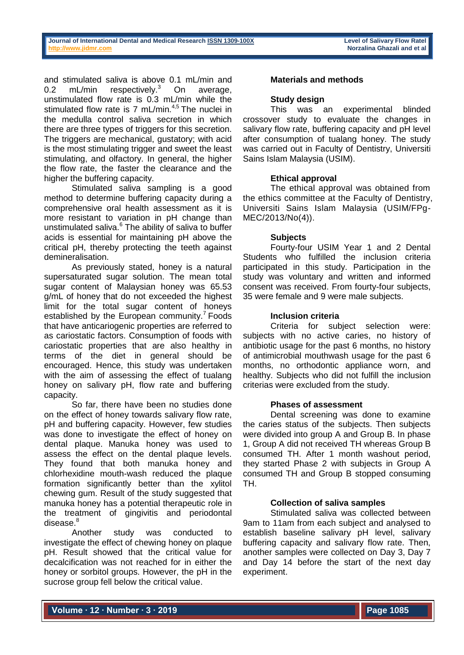and stimulated saliva is above 0.1 mL/min and 0.2 mL/min respectively. $3$  On average, unstimulated flow rate is 0.3 mL/min while the stimulated flow rate is  $7 \text{ mL/min}^{4,5}$  The nuclei in the medulla control saliva secretion in which there are three types of triggers for this secretion. The triggers are mechanical, gustatory; with acid is the most stimulating trigger and sweet the least stimulating, and olfactory. In general, the higher the flow rate, the faster the clearance and the higher the buffering capacity.

Stimulated saliva sampling is a good method to determine buffering capacity during a comprehensive oral health assessment as it is more resistant to variation in pH change than unstimulated saliva.<sup>6</sup> The ability of saliva to buffer acids is essential for maintaining pH above the critical pH, thereby protecting the teeth against demineralisation.

As previously stated, honey is a natural supersaturated sugar solution. The mean total sugar content of Malaysian honey was 65.53 g/mL of honey that do not exceeded the highest limit for the total sugar content of honeys established by the European community.<sup>7</sup> Foods that have anticariogenic properties are referred to as cariostatic factors. Consumption of foods with cariostatic properties that are also healthy in terms of the diet in general should be encouraged. Hence, this study was undertaken with the aim of assessing the effect of tualang honey on salivary pH, flow rate and buffering capacity.

So far, there have been no studies done on the effect of honey towards salivary flow rate, pH and buffering capacity. However, few studies was done to investigate the effect of honey on dental plaque. Manuka honey was used to assess the effect on the dental plaque levels. They found that both manuka honey and chlorhexidine mouth-wash reduced the plaque formation significantly better than the xylitol chewing gum. Result of the study suggested that manuka honey has a potential therapeutic role in the treatment of gingivitis and periodontal disease.<sup>8</sup>

Another study was conducted to investigate the effect of chewing honey on plaque pH. Result showed that the critical value for decalcification was not reached for in either the honey or sorbitol groups. However, the pH in the sucrose group fell below the critical value.

# **Materials and methods**

### **Study design**

This was an experimental blinded crossover study to evaluate the changes in salivary flow rate, buffering capacity and pH level after consumption of tualang honey. The study was carried out in Faculty of Dentistry, Universiti Sains Islam Malaysia (USIM).

# **Ethical approval**

The ethical approval was obtained from the ethics committee at the Faculty of Dentistry, Universiti Sains Islam Malaysia (USIM/FPg-MEC/2013/No(4)).

# **Subjects**

Fourty-four USIM Year 1 and 2 Dental Students who fulfilled the inclusion criteria participated in this study. Participation in the study was voluntary and written and informed consent was received. From fourty-four subjects, 35 were female and 9 were male subjects.

### **Inclusion criteria**

Criteria for subject selection were: subjects with no active caries, no history of antibiotic usage for the past 6 months, no history of antimicrobial mouthwash usage for the past 6 months, no orthodontic appliance worn, and healthy. Subjects who did not fulfill the inclusion criterias were excluded from the study.

### **Phases of assessment**

Dental screening was done to examine the caries status of the subjects. Then subjects were divided into group A and Group B. In phase 1, Group A did not received TH whereas Group B consumed TH. After 1 month washout period, they started Phase 2 with subjects in Group A consumed TH and Group B stopped consuming TH.

### **Collection of saliva samples**

Stimulated saliva was collected between 9am to 11am from each subject and analysed to establish baseline salivary pH level, salivary buffering capacity and salivary flow rate. Then, another samples were collected on Day 3, Day 7 and Day 14 before the start of the next day experiment.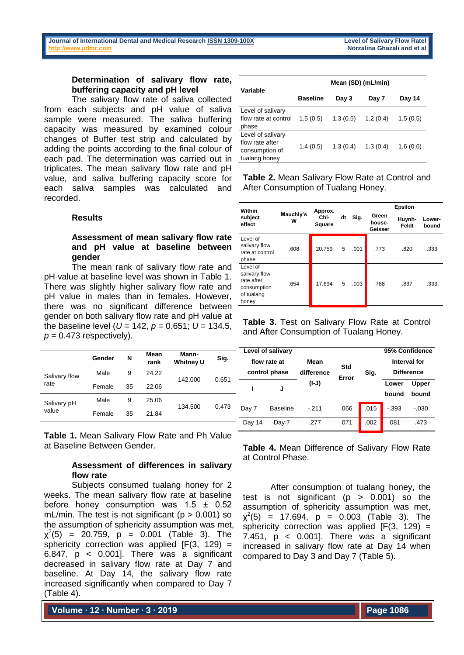# **Determination of salivary flow rate, buffering capacity and pH level**

The salivary flow rate of saliva collected from each subjects and pH value of saliva sample were measured. The saliva buffering capacity was measured by examined colour changes of Buffer test strip and calculated by adding the points according to the final colour of each pad. The determination was carried out in triplicates. The mean salivary flow rate and pH value, and saliva buffering capacity score for each saliva samples was calculated and recorded.

## **Results**

# **Assessment of mean salivary flow rate and pH value at baseline between gender**

The mean rank of salivary flow rate and pH value at baseline level was shown in Table 1. There was slightly higher salivary flow rate and pH value in males than in females. However, there was no significant difference between gender on both salivary flow rate and pH value at the baseline level ( $U = 142$ ,  $p = 0.651$ ;  $U = 134.5$ ,  $p = 0.473$  respectively).

|               | Gender | N  | Mean<br>rank | Mann-<br><b>Whitney U</b> | Sig.  |  |
|---------------|--------|----|--------------|---------------------------|-------|--|
| Salivary flow | Male   | 9  | 24.22        | 142.000                   | 0.651 |  |
| rate          | Female | 35 | 22.06        |                           |       |  |
| Salivary pH   | Male   | 9  | 25.06        | 134.500                   | 0.473 |  |
| value         | Female | 35 | 21.84        |                           |       |  |

**Table 1.** Mean Salivary Flow Rate and Ph Value at Baseline Between Gender.

## **Assessment of differences in salivary flow rate**

Subjects consumed tualang honey for 2 weeks. The mean salivary flow rate at baseline before honey consumption was  $1.5 \pm 0.52$ mL/min. The test is not significant ( $p > 0.001$ ) so the assumption of sphericity assumption was met,  $\chi^2(5)$  = 20.759, p = 0.001 (Table 3). The sphericity correction was applied  $[F(3, 129) =$ 6.847,  $p \le 0.001$ ]. There was a significant decreased in salivary flow rate at Day 7 and baseline. At Day 14, the salivary flow rate increased significantly when compared to Day 7 (Table 4).

**Volume ∙ 12 ∙ Number ∙ 3 ∙ 2019**

| Variable                                                                | Mean (SD) (mL/min) |          |          |           |  |  |
|-------------------------------------------------------------------------|--------------------|----------|----------|-----------|--|--|
|                                                                         | Baseline           | Day 3    | Day 7    | Day 14    |  |  |
| Level of salivary<br>flow rate at control<br>phase                      | 1.5(0.5)           | 1.3(0.5) | 1.2(0.4) | 1.5(0.5)  |  |  |
| Level of salivary<br>flow rate after<br>consumption of<br>tualang honey | 1.4(0.5)           | 1.3(0.4) | 1.3(0.4) | 1.6 (0.6) |  |  |

**Table 2.** Mean Salivary Flow Rate at Control and After Consumption of Tualang Honey.

| Within                                                                        |                | Approx.              |   |      | <b>Epsilon</b>             |                 |                 |
|-------------------------------------------------------------------------------|----------------|----------------------|---|------|----------------------------|-----------------|-----------------|
| subject<br>effect                                                             | Mauchly's<br>w | Chi-<br>dt<br>Square |   | Sig. | Green<br>house-<br>Geisser | Huynh-<br>Feldt | Lower-<br>bound |
| Level of<br>salivary flow<br>rate at control<br>phase                         | .608           | 20.759               | 5 | .001 | .773                       | .820            | .333            |
| Level of<br>salivary flow<br>rate after<br>consumption<br>of tualang<br>honey | .654           | 17.694               | 5 | .003 | .788                       | .837            | .333            |

**Table 3.** Test on Salivary Flow Rate at Control and After Consumption of Tualang Honey.

|        | Level of salivary<br>flow rate at<br>control phase | Mean<br>difference | <b>Std</b><br>Error | Sig. | 95% Confidence<br>Interval for<br><b>Difference</b> |                       |
|--------|----------------------------------------------------|--------------------|---------------------|------|-----------------------------------------------------|-----------------------|
|        | J                                                  | (I-J)              |                     |      | Lower<br>bound                                      | <b>Upper</b><br>bound |
| Day 7  | <b>Baseline</b>                                    | $-211$             | .066                | .015 | $-.393$                                             | $-.030$               |
| Day 14 | Day 7                                              | .277               | .071                | .002 | .081                                                | .473                  |

**Table 4.** Mean Difference of Salivary Flow Rate at Control Phase.

After consumption of tualang honey, the test is not significant  $(p > 0.001)$  so the assumption of sphericity assumption was met,  $\chi^2(5)$  = 17.694, p = 0.003 (Table 3). The sphericity correction was applied  $[F(3, 129) =$ 7.451,  $p \, < \, 0.001$ ]. There was a significant increased in salivary flow rate at Day 14 when compared to Day 3 and Day 7 (Table 5).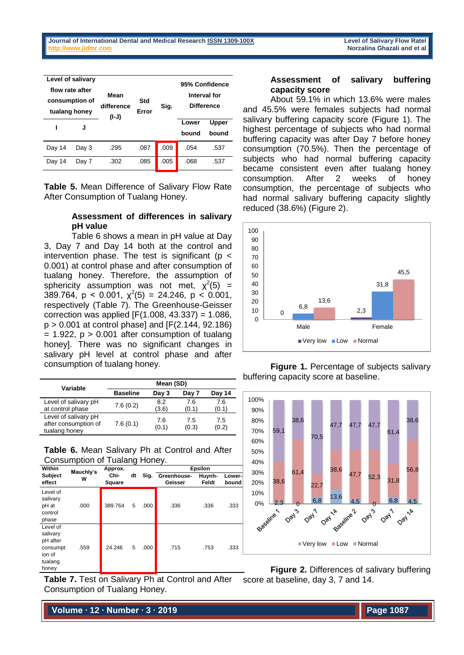| flow rate after<br>tualang honey | Level of salivary<br>consumption of | Mean<br>difference<br>(I-J) | Std<br>Error | Sig. | 95% Confidence<br>Interval for | <b>Difference</b> |
|----------------------------------|-------------------------------------|-----------------------------|--------------|------|--------------------------------|-------------------|
|                                  | J                                   |                             |              |      | Lower<br>bound                 | Upper<br>bound    |
| Day 14                           | Day 3                               | .295                        | .087         | .009 | .054                           | .537              |
| Day 14                           | Day 7                               | .302                        | .085         | .005 | .068                           | .537              |

**Table 5.** Mean Difference of Salivary Flow Rate After Consumption of Tualang Honey.

## **Assessment of differences in salivary pH value**

Table 6 shows a mean in pH value at Day 3, Day 7 and Day 14 both at the control and intervention phase. The test is significant ( $p <$ 0.001) at control phase and after consumption of tualang honey. Therefore, the assumption of sphericity assumption was not met,  $\chi^2(5)$  = 389.764,  $p < 0.001$ ,  $\chi^2(5) = 24.246$ ,  $p < 0.001$ , respectively (Table 7). The Greenhouse-Geisser correction was applied [F(1.008, 43.337) = 1.086,  $p > 0.001$  at control phase] and  $[F(2.144, 92.186)]$  $= 1.922$ ,  $p > 0.001$  after consumption of tualang honey]. There was no significant changes in salivary pH level at control phase and after consumption of tualang honey.

| Variable                                                      | Mean (SD)       |              |              |              |  |  |
|---------------------------------------------------------------|-----------------|--------------|--------------|--------------|--|--|
|                                                               | <b>Baseline</b> | Day 3        | Day 7        | Day 14       |  |  |
| Level of salivary pH<br>at control phase                      | 7.6(0.2)        | 8.2<br>(3.6) | 7.6<br>(0.1) | 7.6<br>(0.1) |  |  |
| Level of salivary pH<br>after consumption of<br>tualang honey | 7.6(0.1)        | 7.6<br>(0.1) | 7.5<br>(0.3) | 7.5<br>(0.2) |  |  |

**Table 6.** Mean Salivary Ph at Control and After Consumption of Tualang Honey.

| Within                                                                     | Mauchly's | Approx.        |    |      | <b>Epsilon</b>         |                 |                 |  |
|----------------------------------------------------------------------------|-----------|----------------|----|------|------------------------|-----------------|-----------------|--|
| <b>Subject</b><br>effect                                                   | w         | Chi-<br>Square | dt | Sig. | Greenhouse-<br>Geisser | Huynh-<br>Feldt | Lower-<br>bound |  |
| Level of<br>salivary<br>pH at<br>control<br>phase                          | .000      | 389.764        | 5  | .000 | .336                   | .336            | .333            |  |
| Level of<br>salivary<br>pH after<br>consumpt<br>ion of<br>tualang<br>honey | .559      | 24.246         | 5  | .000 | .715                   | .753            | .333            |  |

**Table 7.** Test on Salivary Ph at Control and After Consumption of Tualang Honey.

**Assessment of salivary buffering capacity score**

About 59.1% in which 13.6% were males and 45.5% were females subjects had normal salivary buffering capacity score (Figure 1). The highest percentage of subjects who had normal buffering capacity was after Day 7 before honey consumption (70.5%). Then the percentage of subjects who had normal buffering capacity became consistent even after tualang honey consumption. After 2 weeks of honey consumption, the percentage of subjects who had normal salivary buffering capacity slightly reduced (38.6%) (Figure 2).



### **Figure 1.** Percentage of subjects salivary buffering capacity score at baseline.



**Figure 2.** Differences of salivary buffering score at baseline, day 3, 7 and 14.

**Volume ∙ 12 ∙ Number ∙ 3 ∙ 2019**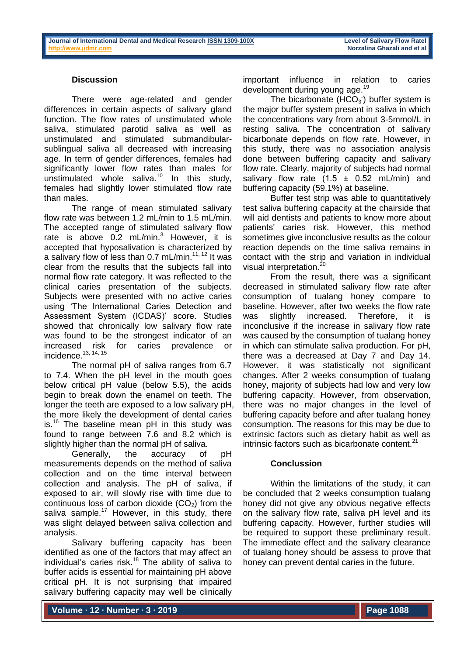#### **Discussion**

There were age-related and gender differences in certain aspects of salivary gland function. The flow rates of unstimulated whole saliva, stimulated parotid saliva as well as unstimulated and stimulated submandibularsublingual saliva all decreased with increasing age. In term of gender differences, females had significantly lower flow rates than males for unstimulated whole saliva.<sup>10</sup> In this study, females had slightly lower stimulated flow rate than males.

The range of mean stimulated salivary flow rate was between 1.2 mL/min to 1.5 mL/min. The accepted range of stimulated salivary flow rate is above  $0.2$  mL/min.<sup>3</sup> However, it is accepted that hyposalivation is characterized by a salivary flow of less than  $0.7$  mL/min.<sup>11, 12</sup> It was clear from the results that the subjects fall into normal flow rate category. It was reflected to the clinical caries presentation of the subjects. Subjects were presented with no active caries using 'The International Caries Detection and Assessment System (ICDAS)' score. Studies showed that chronically low salivary flow rate was found to be the strongest indicator of an increased risk for caries prevalence or incidence.13, 14, 15

The normal pH of saliva ranges from 6.7 to 7.4. When the pH level in the mouth goes below critical pH value (below 5.5), the acids begin to break down the enamel on teeth. The longer the teeth are exposed to a low salivary pH, the more likely the development of dental caries is.<sup>16</sup> The baseline mean pH in this study was found to range between 7.6 and 8.2 which is slightly higher than the normal pH of saliva.

Generally, the accuracy of pH measurements depends on the method of saliva collection and on the time interval between collection and analysis. The pH of saliva, if exposed to air, will slowly rise with time due to continuous loss of carbon dioxide  $(CO<sub>2</sub>)$  from the saliva sample.<sup>17</sup> However, in this study, there was slight delayed between saliva collection and analysis.

Salivary buffering capacity has been identified as one of the factors that may affect an individual's caries risk.<sup>18</sup> The ability of saliva to buffer acids is essential for maintaining pH above critical pH. It is not surprising that impaired salivary buffering capacity may well be clinically

important influence in relation to caries development during young age.<sup>19</sup>

The bicarbonate  $(HCO<sub>3</sub>)$  buffer system is the major buffer system present in saliva in which the concentrations vary from about 3-5mmol/L in resting saliva. The concentration of salivary bicarbonate depends on flow rate. However, in this study, there was no association analysis done between buffering capacity and salivary flow rate. Clearly, majority of subjects had normal salivary flow rate  $(1.5 \pm 0.52 \text{ mL/min})$  and buffering capacity (59.1%) at baseline.

Buffer test strip was able to quantitatively test saliva buffering capacity at the chairside that will aid dentists and patients to know more about patients' caries risk. However, this method sometimes give inconclusive results as the colour reaction depends on the time saliva remains in contact with the strip and variation in individual visual interpretation.<sup>20</sup>

From the result, there was a significant decreased in stimulated salivary flow rate after consumption of tualang honey compare to baseline. However, after two weeks the flow rate was slightly increased. Therefore, it is inconclusive if the increase in salivary flow rate was caused by the consumption of tualang honey in which can stimulate saliva production. For pH, there was a decreased at Day 7 and Day 14. However, it was statistically not significant changes. After 2 weeks consumption of tualang honey, majority of subjects had low and very low buffering capacity. However, from observation, there was no major changes in the level of buffering capacity before and after tualang honey consumption. The reasons for this may be due to extrinsic factors such as dietary habit as well as intrinsic factors such as bicarbonate content.<sup>21</sup>

#### **Conclussion**

Within the limitations of the study, it can be concluded that 2 weeks consumption tualang honey did not give any obvious negative effects on the salivary flow rate, saliva pH level and its buffering capacity. However, further studies will be required to support these preliminary result. The immediate effect and the salivary clearance of tualang honey should be assess to prove that honey can prevent dental caries in the future.

**Volume ∙ 12 ∙ Number ∙ 3 ∙ 2019**